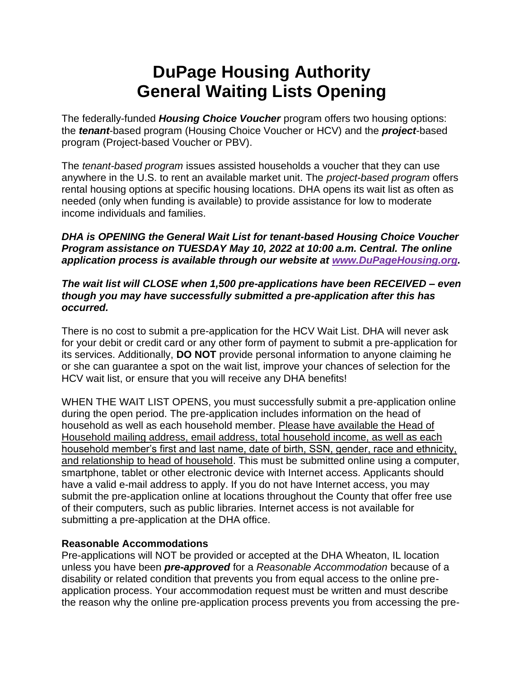# **DuPage Housing Authority General Waiting Lists Opening**

The federally-funded *Housing Choice Voucher* program offers two housing options: the *tenant*-based program (Housing Choice Voucher or HCV) and the *project*-based program (Project-based Voucher or PBV).

The *tenant-based program* issues assisted households a voucher that they can use anywhere in the U.S. to rent an available market unit. The *project-based program* offers rental housing options at specific housing locations. DHA opens its wait list as often as needed (only when funding is available) to provide assistance for low to moderate income individuals and families.

#### *DHA is OPENING the General Wait List for tenant-based Housing Choice Voucher Program assistance on TUESDAY May 10, 2022 at 10:00 a.m. Central. The online application process is available through our website at [www.DuPageHousing.org.](http://www.dupagehousing.org/)*

#### *The wait list will CLOSE when 1,500 pre-applications have been RECEIVED – even though you may have successfully submitted a pre-application after this has occurred.*

There is no cost to submit a pre-application for the HCV Wait List. DHA will never ask for your debit or credit card or any other form of payment to submit a pre-application for its services. Additionally, **DO NOT** provide personal information to anyone claiming he or she can guarantee a spot on the wait list, improve your chances of selection for the HCV wait list, or ensure that you will receive any DHA benefits!

WHEN THE WAIT LIST OPENS, you must successfully submit a pre-application online during the open period. The pre-application includes information on the head of household as well as each household member. Please have available the Head of Household mailing address, email address, total household income, as well as each household member's first and last name, date of birth, SSN, gender, race and ethnicity, and relationship to head of household. This must be submitted online using a computer, smartphone, tablet or other electronic device with Internet access. Applicants should have a valid e-mail address to apply. If you do not have Internet access, you may submit the pre-application online at locations throughout the County that offer free use of their computers, such as public libraries. Internet access is not available for submitting a pre-application at the DHA office.

## **Reasonable Accommodations**

Pre-applications will NOT be provided or accepted at the DHA Wheaton, IL location unless you have been *pre-approved* for a *Reasonable Accommodation* because of a disability or related condition that prevents you from equal access to the online preapplication process. Your accommodation request must be written and must describe the reason why the online pre-application process prevents you from accessing the pre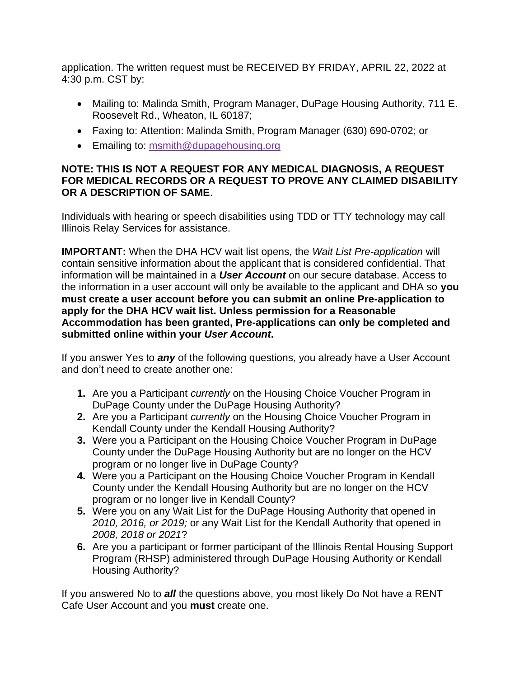application. The written request must be RECEIVED BY FRIDAY, APRIL 22, 2022 at 4:30 p.m. CST by:

- Mailing to: Malinda Smith, Program Manager, DuPage Housing Authority, 711 E. Roosevelt Rd., Wheaton, IL 60187;
- Faxing to: Attention: Malinda Smith, Program Manager (630) 690-0702; or
- Emailing to: [msmith@dupagehousing.org](mailto:msmith@dupagehousing.org)

### **NOTE: THIS IS NOT A REQUEST FOR ANY MEDICAL DIAGNOSIS, A REQUEST FOR MEDICAL RECORDS OR A REQUEST TO PROVE ANY CLAIMED DISABILITY OR A DESCRIPTION OF SAME**.

Individuals with hearing or speech disabilities using TDD or TTY technology may call Illinois Relay Services for assistance.

**IMPORTANT:** When the DHA HCV wait list opens, the *Wait List Pre-application* will contain sensitive information about the applicant that is considered confidential. That information will be maintained in a *User Account* on our secure database. Access to the information in a user account will only be available to the applicant and DHA so **you must create a user account before you can submit an online Pre-application to apply for the DHA HCV wait list. Unless permission for a Reasonable Accommodation has been granted, Pre-applications can only be completed and submitted online within your** *User Account***.** 

If you answer Yes to *any* of the following questions, you already have a User Account and don't need to create another one:

- **1.** Are you a Participant *currently* on the Housing Choice Voucher Program in DuPage County under the DuPage Housing Authority?
- **2.** Are you a Participant *currently* on the Housing Choice Voucher Program in Kendall County under the Kendall Housing Authority?
- **3.** Were you a Participant on the Housing Choice Voucher Program in DuPage County under the DuPage Housing Authority but are no longer on the HCV program or no longer live in DuPage County?
- **4.** Were you a Participant on the Housing Choice Voucher Program in Kendall County under the Kendall Housing Authority but are no longer on the HCV program or no longer live in Kendall County?
- **5.** Were you on any Wait List for the DuPage Housing Authority that opened in *2010, 2016, or 2019;* or any Wait List for the Kendall Authority that opened in *2008, 2018 or 2021*?
- **6.** Are you a participant or former participant of the Illinois Rental Housing Support Program (RHSP) administered through DuPage Housing Authority or Kendall Housing Authority?

If you answered No to *all* the questions above, you most likely Do Not have a RENT Cafe User Account and you **must** create one.